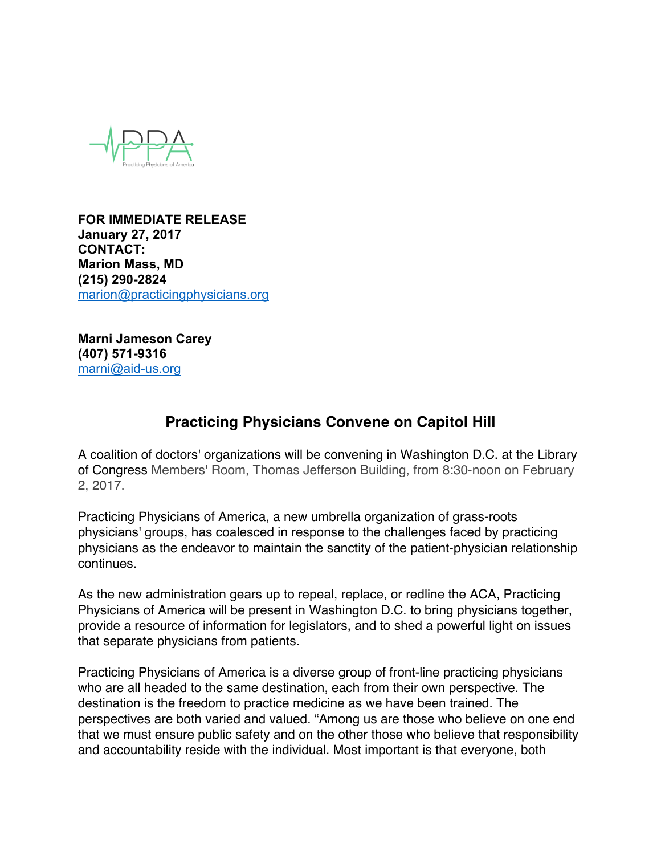

**FOR IMMEDIATE RELEASE January 27, 2017 CONTACT: Marion Mass, MD (215) 290-2824** marion@practicingphysicians.org

**Marni Jameson Carey (407) 571-9316** marni@aid-us.org

## **Practicing Physicians Convene on Capitol Hill**

A coalition of doctors' organizations will be convening in Washington D.C. at the Library of Congress Members' Room, Thomas Jefferson Building, from 8:30-noon on February 2, 2017.

Practicing Physicians of America, a new umbrella organization of grass-roots physicians' groups, has coalesced in response to the challenges faced by practicing physicians as the endeavor to maintain the sanctity of the patient-physician relationship continues.

As the new administration gears up to repeal, replace, or redline the ACA, Practicing Physicians of America will be present in Washington D.C. to bring physicians together, provide a resource of information for legislators, and to shed a powerful light on issues that separate physicians from patients.

Practicing Physicians of America is a diverse group of front-line practicing physicians who are all headed to the same destination, each from their own perspective. The destination is the freedom to practice medicine as we have been trained. The perspectives are both varied and valued. "Among us are those who believe on one end that we must ensure public safety and on the other those who believe that responsibility and accountability reside with the individual. Most important is that everyone, both